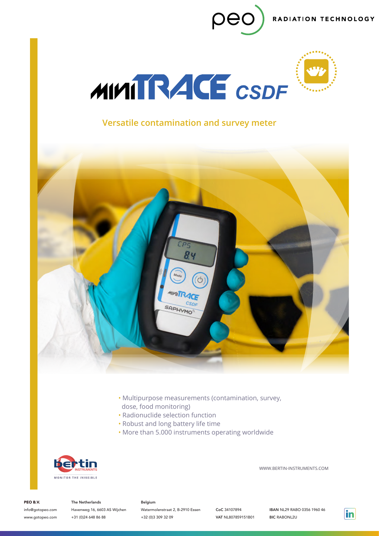RADIATION TECHNOLOGY



pec

# **Versatile contamination and survey meter**



- Multipurpose measurements (contamination, survey, dose, food monitoring)
- Radionuclide selection function
- Robust and long battery life time
- More than 5.000 instruments operating worldwide



WWW.BERTIN-INSTRUMENTS.COM

PEO B.V.

info@gotopeo.com www.gotopeo.com

The Netherlands Havenweg 16, 6603 AS Wijchen +31 (0)24 648 86 88

#### Belgium

Watermolenstraat 2, B-2910 Essen +32 (0)3 309 32 09

CoC 34107894 VAT NL807859151B01

IBAN NL29 RABO 0356 1960 46 BIC RABONL2U

 $\mathsf{in}$